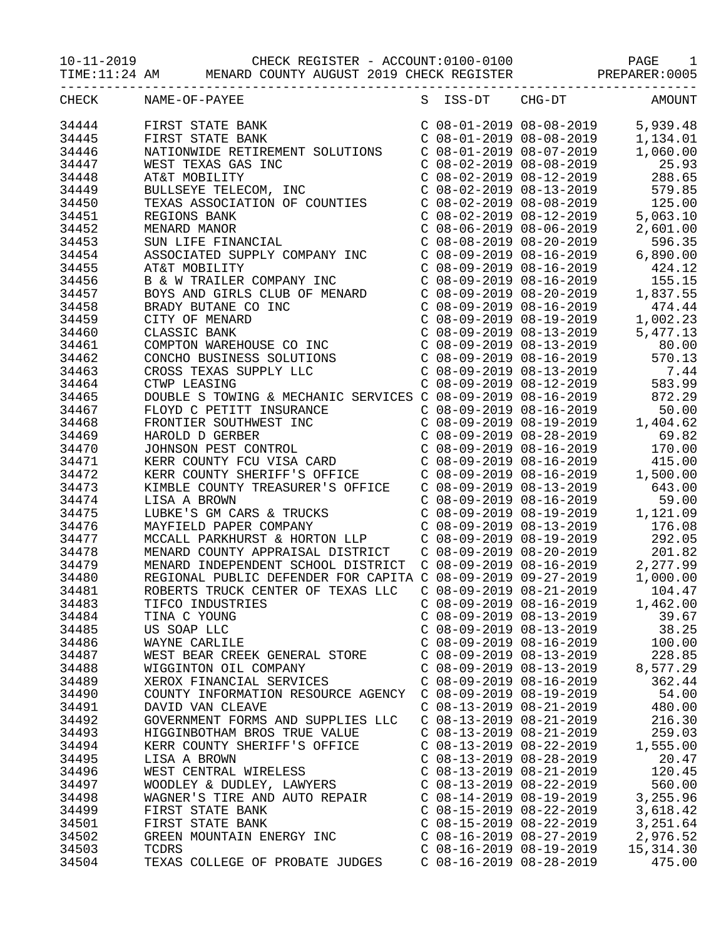10-11-2019 CHECK REGISTER - ACCOUNT:0100-0100 PAGE 1

TIME:11:24 AM MENARD COUNTY AUGUST 2019 CHECK REGISTER PREPARER:0005

| CHECK          | NAME-OF-PAYEE                                                                                                                                                                                                                           | S ISS-DT                  | $CHG-DT$                                                                                                                                                                                                                                        | AMOUNT                           |
|----------------|-----------------------------------------------------------------------------------------------------------------------------------------------------------------------------------------------------------------------------------------|---------------------------|-------------------------------------------------------------------------------------------------------------------------------------------------------------------------------------------------------------------------------------------------|----------------------------------|
| 34444          | FIRST STATE BANK                                                                                                                                                                                                                        |                           | $\begin{array}{cccc} \text{C} & 08-01-2019 & 08-08-2019 \\ \text{C} & 08-01-2019 & 08-08-2019 \\ \text{C} & 08-01-2019 & 08-07-2019 \end{array}$                                                                                                | 5,939.48                         |
| 34445          | FIRST STATE BANK                                                                                                                                                                                                                        |                           |                                                                                                                                                                                                                                                 | 1,134.01                         |
| 34446          | NATIONWIDE RETIREMENT SOLUTIONS                                                                                                                                                                                                         |                           |                                                                                                                                                                                                                                                 | 1,060.00                         |
| 34447          | WEST TEXAS GAS INC                                                                                                                                                                                                                      |                           | $C$ 08-02-2019 08-08-2019                                                                                                                                                                                                                       | 25.93                            |
| 34448          | AT&T MOBILITY                                                                                                                                                                                                                           |                           | $C$ 08-02-2019 08-12-2019                                                                                                                                                                                                                       | 288.65                           |
| 34449          | BULLSEYE TELECOM, INC                                                                                                                                                                                                                   |                           | $C$ 08-02-2019 08-13-2019                                                                                                                                                                                                                       | 579.85                           |
| 34450          | TEXAS ASSOCIATION OF COUNTIES                                                                                                                                                                                                           |                           | $C$ 08-02-2019 08-08-2019                                                                                                                                                                                                                       | 125.00                           |
| 34451          | REGIONS BANK                                                                                                                                                                                                                            |                           | $C 08-02-2019 08-12-2019$<br>$C 08-06-2019 08-06-2019$<br>$C 08-06-2019 08-06-2019$                                                                                                                                                             | 5,063.10                         |
| 34452          | MENARD MANOR                                                                                                                                                                                                                            |                           |                                                                                                                                                                                                                                                 | 2,601.00                         |
| 34453          | REGIONS BANK<br>MENARD MANOR<br>SUN LIFE FINANCIAL                                                                                                                                                                                      |                           | $C$ 08-08-2019 08-20-2019                                                                                                                                                                                                                       | 596.35                           |
| 34454          | ASSOCIATED SUPPLY COMPANY INC                                                                                                                                                                                                           |                           | $C$ 08-09-2019 08-16-2019                                                                                                                                                                                                                       | 6,890.00                         |
| 34455          | AT&T MOBILITY                                                                                                                                                                                                                           | $C$ 08-09-2019 08-16-2019 |                                                                                                                                                                                                                                                 | 424.12                           |
| 34456          |                                                                                                                                                                                                                                         |                           | $C$ 08-09-2019 08-16-2019                                                                                                                                                                                                                       | 155.15                           |
| 34457          |                                                                                                                                                                                                                                         |                           | $C 08-09-2019 08-20-2019$                                                                                                                                                                                                                       | 1,837.55                         |
| 34458          |                                                                                                                                                                                                                                         |                           | $C$ 08-09-2019 08-16-2019                                                                                                                                                                                                                       | 474.44                           |
| 34459          |                                                                                                                                                                                                                                         |                           | $C$ 08-09-2019 08-19-2019                                                                                                                                                                                                                       | 1,002.23                         |
| 34460          |                                                                                                                                                                                                                                         |                           | C 08-09-2019 08-13-2019                                                                                                                                                                                                                         | 5,477.13                         |
| 34461          |                                                                                                                                                                                                                                         |                           | $C$ 08-09-2019 08-13-2019                                                                                                                                                                                                                       | 80.00                            |
| 34462          |                                                                                                                                                                                                                                         |                           | $C$ 08-09-2019 08-16-2019                                                                                                                                                                                                                       | 570.13                           |
| 34463          |                                                                                                                                                                                                                                         |                           | $C$ 08-09-2019 08-13-2019                                                                                                                                                                                                                       | 7.44                             |
| 34464          | HERI MOBILITI<br>B & W TRAILER COMPANY INC<br>BOYS AND GIRLS CLUB OF MENARD<br>BRADY BUTANE CO INC<br>CITY OF MENARD<br>CLASSIC BANK<br>COMPTON WAREHOUSE CO INC<br>CONCHO BUSINESS SOLUTIONS<br>CROSS TEXAS SUPPLY LLC<br>CTWP LEASING |                           |                                                                                                                                                                                                                                                 | $C$ 08-09-2019 08-12-2019 583.99 |
| 34465          | DOUBLE S TOWING & MECHANIC SERVICES C 08-09-2019 08-16-2019                                                                                                                                                                             |                           |                                                                                                                                                                                                                                                 | 872.29                           |
| 34467          |                                                                                                                                                                                                                                         |                           | $C$ 08-09-2019 08-16-2019                                                                                                                                                                                                                       | 50.00                            |
| 34468          |                                                                                                                                                                                                                                         |                           |                                                                                                                                                                                                                                                 | 1,404.62                         |
| 34469          |                                                                                                                                                                                                                                         |                           |                                                                                                                                                                                                                                                 | 69.82                            |
| 34470          | FLOYD C PETITT INSURANCE<br>FRONTIER SOUTHWEST INC<br>HAROLD D GERBER<br>JOHNSON PEST CONTROL<br>KERR COUNTY FCU VISA CARD                                                                                                              |                           | $\begin{array}{ccccccccc}\n & -2 & -3 & -5 & -6 & -10 & -2019 \\ C & 08 & -09 & -2019 & 08 & -19 & -2019 & 1 \\ C & 08 & -09 & -2019 & 08 & -28 & -2019 & 1 \\ C & 08 & -09 & -2012 & 08 & 0 & 0 & 0\n\end{array}$<br>$C$ 08-09-2019 08-16-2019 | 170.00                           |
| 34471          |                                                                                                                                                                                                                                         |                           | C 08-09-2019 08-16-2019                                                                                                                                                                                                                         | 415.00                           |
| 34472          | KERR COUNTY SHERIFF'S OFFICE                                                                                                                                                                                                            |                           | $C$ 08-09-2019 08-16-2019                                                                                                                                                                                                                       | 1,500.00                         |
| 34473          | KIMBLE COUNTY TREASURER'S OFFICE                                                                                                                                                                                                        | $C$ 08-09-2019 08-13-2019 |                                                                                                                                                                                                                                                 | 643.00                           |
| 34474          | LISA A BROWN                                                                                                                                                                                                                            |                           | $C$ 08-09-2019 08-16-2019                                                                                                                                                                                                                       | 59.00                            |
| 34475          | LUBKE'S GM CARS & TRUCKS                                                                                                                                                                                                                |                           | $C$ 08-09-2019 08-19-2019                                                                                                                                                                                                                       | 1,121.09                         |
| 34476          | MAYFIELD PAPER COMPANY                                                                                                                                                                                                                  |                           | $C$ 08-09-2019 08-13-2019                                                                                                                                                                                                                       | 176.08                           |
| 34477          | MCCALL PARKHURST & HORTON LLP                                                                                                                                                                                                           |                           | C 08-09-2019 08-19-2019                                                                                                                                                                                                                         | 292.05                           |
| 34478          |                                                                                                                                                                                                                                         |                           |                                                                                                                                                                                                                                                 | 201.82                           |
| 34479          |                                                                                                                                                                                                                                         |                           |                                                                                                                                                                                                                                                 | 2,277.99                         |
| 34480          | MENARD COUNTY APPRAISAL DISTRICT  C 08-09-2019 08-20-2019<br>MENARD INDEPENDENT SCHOOL DISTRICT  C 08-09-2019 08-16-2019  2<br>REGIONAL PUBLIC DEFENDER FOR CAPITA  C 08-09-2019 09-27-2019  1                                          |                           |                                                                                                                                                                                                                                                 | 1,000.00                         |
|                |                                                                                                                                                                                                                                         |                           | $C$ 08-09-2019 08-21-2019                                                                                                                                                                                                                       | 104.47                           |
| 34481<br>34483 | ROBERTS TRUCK CENTER OF TEXAS LLC<br>TIFCO INDUSTRIES                                                                                                                                                                                   | $C$ 08-09-2019 08-16-2019 |                                                                                                                                                                                                                                                 |                                  |
|                |                                                                                                                                                                                                                                         |                           |                                                                                                                                                                                                                                                 | 1,462.00                         |
| 34484          | TINA C YOUNG                                                                                                                                                                                                                            | $C$ 08-09-2019 08-13-2019 |                                                                                                                                                                                                                                                 | 39.67                            |
| 34485          | US SOAP LLC                                                                                                                                                                                                                             | $C$ 08-09-2019 08-13-2019 |                                                                                                                                                                                                                                                 | 38.25                            |
| 34486          | WAYNE CARLILE                                                                                                                                                                                                                           | $C$ 08-09-2019 08-16-2019 |                                                                                                                                                                                                                                                 | 100.00                           |
| 34487          | WEST BEAR CREEK GENERAL STORE                                                                                                                                                                                                           | $C$ 08-09-2019 08-13-2019 |                                                                                                                                                                                                                                                 | 228.85                           |
| 34488          | WIGGINTON OIL COMPANY                                                                                                                                                                                                                   | $C$ 08-09-2019 08-13-2019 |                                                                                                                                                                                                                                                 | 8,577.29                         |
| 34489          | XEROX FINANCIAL SERVICES                                                                                                                                                                                                                | $C$ 08-09-2019 08-16-2019 |                                                                                                                                                                                                                                                 | 362.44                           |
| 34490          | COUNTY INFORMATION RESOURCE AGENCY                                                                                                                                                                                                      | C 08-09-2019 08-19-2019   |                                                                                                                                                                                                                                                 | 54.00                            |
| 34491          | DAVID VAN CLEAVE                                                                                                                                                                                                                        | $C$ 08-13-2019 08-21-2019 |                                                                                                                                                                                                                                                 | 480.00                           |
| 34492          | GOVERNMENT FORMS AND SUPPLIES LLC                                                                                                                                                                                                       | $C$ 08-13-2019 08-21-2019 |                                                                                                                                                                                                                                                 | 216.30                           |
| 34493          | HIGGINBOTHAM BROS TRUE VALUE                                                                                                                                                                                                            | $C$ 08-13-2019 08-21-2019 |                                                                                                                                                                                                                                                 | 259.03                           |
| 34494          | KERR COUNTY SHERIFF'S OFFICE                                                                                                                                                                                                            | $C$ 08-13-2019 08-22-2019 |                                                                                                                                                                                                                                                 | 1,555.00                         |
| 34495          | LISA A BROWN                                                                                                                                                                                                                            | $C$ 08-13-2019 08-28-2019 |                                                                                                                                                                                                                                                 | 20.47                            |
| 34496          | WEST CENTRAL WIRELESS                                                                                                                                                                                                                   | $C$ 08-13-2019 08-21-2019 |                                                                                                                                                                                                                                                 | 120.45                           |
| 34497          | WOODLEY & DUDLEY, LAWYERS                                                                                                                                                                                                               | $C$ 08-13-2019 08-22-2019 |                                                                                                                                                                                                                                                 | 560.00                           |
| 34498          | WAGNER'S TIRE AND AUTO REPAIR                                                                                                                                                                                                           | $C$ 08-14-2019 08-19-2019 |                                                                                                                                                                                                                                                 | 3,255.96                         |
| 34499          | FIRST STATE BANK                                                                                                                                                                                                                        | $C$ 08-15-2019 08-22-2019 |                                                                                                                                                                                                                                                 | 3,618.42                         |
| 34501          | FIRST STATE BANK                                                                                                                                                                                                                        | $C$ 08-15-2019 08-22-2019 |                                                                                                                                                                                                                                                 | 3,251.64                         |
| 34502          | GREEN MOUNTAIN ENERGY INC                                                                                                                                                                                                               | $C$ 08-16-2019 08-27-2019 |                                                                                                                                                                                                                                                 | 2,976.52                         |
| 34503          | TCDRS                                                                                                                                                                                                                                   | $C$ 08-16-2019 08-19-2019 |                                                                                                                                                                                                                                                 | 15, 314.30                       |
| 34504          | TEXAS COLLEGE OF PROBATE JUDGES                                                                                                                                                                                                         | $C$ 08-16-2019 08-28-2019 |                                                                                                                                                                                                                                                 | 475.00                           |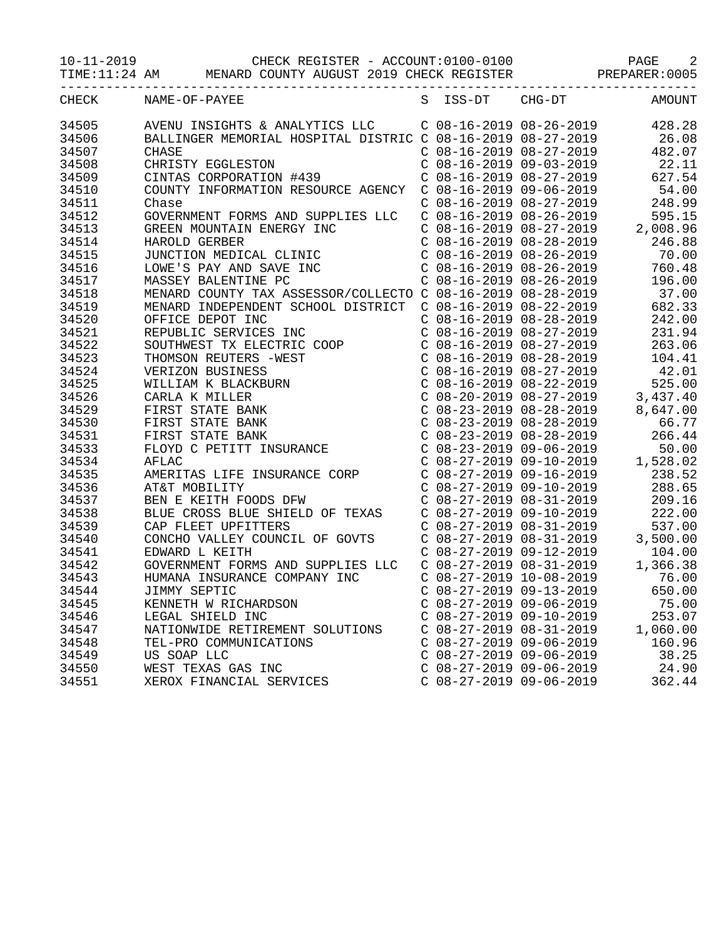10-11-2019 CHECK REGISTER - ACCOUNT:0100-0100 PAGE 2

TIME:11:24 AM MENARD COUNTY AUGUST 2019 CHECK REGISTER PREPARER:0005

| CHECK | NAME-OF-PAYEE                                                                                                                                                                                                                    | S ISS-DT CHG-DT |                                                                                                                                                                                                                                                                                               | AMOUNT |
|-------|----------------------------------------------------------------------------------------------------------------------------------------------------------------------------------------------------------------------------------|-----------------|-----------------------------------------------------------------------------------------------------------------------------------------------------------------------------------------------------------------------------------------------------------------------------------------------|--------|
| 34505 | AVENU INSIGHTS & ANALYTICS LLC C 08-16-2019 08-26-2019 428.28                                                                                                                                                                    |                 |                                                                                                                                                                                                                                                                                               |        |
| 34506 | BALLINGER MEMORIAL HOSPITAL DISTRIC C 08-16-2019 08-27-2019                                                                                                                                                                      |                 |                                                                                                                                                                                                                                                                                               | 26.08  |
| 34507 | <b>CHASE</b>                                                                                                                                                                                                                     |                 | $C$ 08-16-2019 08-27-2019                                                                                                                                                                                                                                                                     | 482.07 |
| 34508 | CHRISTY EGGLESTON<br>CINTAS CORPORATION #439<br>COUNTY INFORMATION RESOURCE AGENCY C 08-16-2019 09-06-2019                                                                                                                       |                 |                                                                                                                                                                                                                                                                                               | 22.11  |
| 34509 |                                                                                                                                                                                                                                  |                 |                                                                                                                                                                                                                                                                                               | 627.54 |
| 34510 |                                                                                                                                                                                                                                  |                 |                                                                                                                                                                                                                                                                                               | 54.00  |
| 34511 | Chase                                                                                                                                                                                                                            |                 |                                                                                                                                                                                                                                                                                               |        |
| 34512 | GOVERNMENT FORMS AND SUPPLIES LLC                                                                                                                                                                                                |                 | $\begin{array}{lllllll} \mbox{C} & 08\!-\!16\!-\!2019 & 08\!-\!27\!-\!2019 & & 248.99 \\ \mbox{C} & 08\!-\!16\!-\!2019 & 08\!-\!26\!-\!2019 & & 595.15 \\ \mbox{C} & 08\!-\!16\!-\!2019 & 08\!-\!27\!-\!2019 & & 2,008.96 \\ \mbox{C} & 08\!-\!16\!-\!2019 & 08\!-\!28\!-\!2019 & & 246.88 \$ |        |
| 34513 |                                                                                                                                                                                                                                  |                 |                                                                                                                                                                                                                                                                                               |        |
| 34514 |                                                                                                                                                                                                                                  |                 |                                                                                                                                                                                                                                                                                               |        |
| 34515 |                                                                                                                                                                                                                                  |                 | $C$ 08-16-2019 08-26-2019                                                                                                                                                                                                                                                                     | 70.00  |
| 34516 | GREEN MOUNTAIN ENERGY INC<br>HAROLD GERBER<br>JUNCTION MEDICAL CLINIC<br>LOWE'S PAY AND SAVE INC<br>MASSEY BALENTINE PC                                                                                                          |                 | $C$ 08-16-2019 08-26-2019                                                                                                                                                                                                                                                                     | 760.48 |
| 34517 |                                                                                                                                                                                                                                  |                 | $C$ 08-16-2019 08-26-2019                                                                                                                                                                                                                                                                     | 196.00 |
| 34518 |                                                                                                                                                                                                                                  |                 |                                                                                                                                                                                                                                                                                               | 37.00  |
| 34519 | MENARD COUNTY TAX ASSESSOR/COLLECTO C 08-16-2019 08-28-2019<br>MENARD INDEPENDENT SCHOOL DISTRICT C 08-16-2019 08-22-2019                                                                                                        |                 |                                                                                                                                                                                                                                                                                               | 682.33 |
| 34520 | OFFICE DEPOT INC                                                                                                                                                                                                                 |                 | $C$ 08-16-2019 08-28-2019                                                                                                                                                                                                                                                                     | 242.00 |
| 34521 |                                                                                                                                                                                                                                  |                 |                                                                                                                                                                                                                                                                                               | 231.94 |
| 34522 | OFFICE DEPOT INC<br>REPUBLIC SERVICES INC<br>SOUTHWEST TX ELECTRIC COOP                                                                                                                                                          |                 | $C$ 08-16-2019 08-27-2019<br>$C$ 08-16-2019 08-27-2019                                                                                                                                                                                                                                        | 263.06 |
| 34523 |                                                                                                                                                                                                                                  |                 |                                                                                                                                                                                                                                                                                               | 104.41 |
| 34524 | SOUTHWEST TX ELECTRIC COOP<br>THOMSON REUTERS -WEST<br>VERIZON BUSINESS<br>WILLIAM K BLACKBURN<br>CARLA K MILLER<br>FIRST STATE BANK<br>FIRST STATE BANK<br>FIRST STATE BANK<br>FLOYD C PETITT INSURANCE<br>AFLAC                |                 | C 08-16-2019 08-28-2019<br>C 08-16-2019 08-27-2019                                                                                                                                                                                                                                            | 42.01  |
| 34525 |                                                                                                                                                                                                                                  |                 | C 08-16-2019 08-22-2019 525.00<br>C 08-20-2019 08-27-2019 3,437.40<br>C 08-23-2019 08-28-2019 8,647.00                                                                                                                                                                                        |        |
| 34526 |                                                                                                                                                                                                                                  |                 |                                                                                                                                                                                                                                                                                               |        |
| 34529 |                                                                                                                                                                                                                                  |                 |                                                                                                                                                                                                                                                                                               |        |
| 34530 |                                                                                                                                                                                                                                  |                 | $260 - 23 - 2019 = 08 - 28 - 2019 = 66.77$<br>$208 - 23 - 2019 = 08 - 28 - 2019 = 266.44$<br>$208 - 23 - 2019 = 09 - 06 - 2019 = 50.00$<br>$208 - 27 - 2019 = 09 - 10 - 2019 = 1,528.02$<br>$238.52$<br>$208 - 27 - 2019 = 09 - 16 - 2019 = 238.52$                                           |        |
| 34531 |                                                                                                                                                                                                                                  |                 |                                                                                                                                                                                                                                                                                               |        |
| 34533 |                                                                                                                                                                                                                                  |                 |                                                                                                                                                                                                                                                                                               |        |
| 34534 | AFLAC                                                                                                                                                                                                                            |                 |                                                                                                                                                                                                                                                                                               |        |
| 34535 | AMERITAS LIFE INSURANCE CORP                                                                                                                                                                                                     |                 |                                                                                                                                                                                                                                                                                               |        |
| 34536 |                                                                                                                                                                                                                                  |                 |                                                                                                                                                                                                                                                                                               | 288.65 |
| 34537 | AI&I MOBILITY<br>BEN E KEITH FOODS DFW<br>BIJTE TEITH FOODS DFW                                                                                                                                                                  |                 | C 08-27-2019 09-10-2019<br>C 08-27-2019 08-31-2019                                                                                                                                                                                                                                            | 209.16 |
| 34538 | BLUE CROSS BLUE SHIELD OF TEXAS                                                                                                                                                                                                  |                 | C 08-27-2019 09-10-2019<br>C 08-27-2019 08-31-2019                                                                                                                                                                                                                                            | 222.00 |
| 34539 | CAP FLEET UPFITTERS                                                                                                                                                                                                              |                 |                                                                                                                                                                                                                                                                                               | 537.00 |
| 34540 | CONCHO VALLEY COUNCIL OF GOVTS                                                                                                                                                                                                   |                 |                                                                                                                                                                                                                                                                                               |        |
| 34541 | EDWARD L KEITH                                                                                                                                                                                                                   |                 | $C$ 08-27-2019 08-31-2019<br>$C$ 08-27-2019 08-31-2019 3,500.00<br>$C$ 08-27-2019 09-12-2019 104.00<br>$C$ 08-27-2019 08-31-2019 1,366.38                                                                                                                                                     |        |
| 34542 | GOVERNMENT FORMS AND SUPPLIES LLC                                                                                                                                                                                                |                 |                                                                                                                                                                                                                                                                                               |        |
| 34543 | HUMANA INSURANCE COMPANY INC                                                                                                                                                                                                     |                 | $C$ 08-27-2019 10-08-2019                                                                                                                                                                                                                                                                     | 76.00  |
| 34544 | JIMMY SEPTIC                                                                                                                                                                                                                     |                 | $C$ 08-27-2019 09-13-2019                                                                                                                                                                                                                                                                     | 650.00 |
| 34545 |                                                                                                                                                                                                                                  |                 |                                                                                                                                                                                                                                                                                               |        |
| 34546 |                                                                                                                                                                                                                                  |                 |                                                                                                                                                                                                                                                                                               |        |
| 34547 | EXAMPLE IN EXAMPLE INC. THE CHARD SON CONSULTED A CONSULTED THE CONSULTIONS CONSULTED USING CONSULTED USING CON<br>LEGAL SHIELD INC CONSULTIONS CONSULTED A CONSULTED A CONSULTED A CONSULTION CONSULTED USING CONSULTANT CONSUL |                 |                                                                                                                                                                                                                                                                                               |        |
| 34548 |                                                                                                                                                                                                                                  |                 |                                                                                                                                                                                                                                                                                               |        |
| 34549 |                                                                                                                                                                                                                                  |                 |                                                                                                                                                                                                                                                                                               |        |
| 34550 |                                                                                                                                                                                                                                  |                 |                                                                                                                                                                                                                                                                                               |        |
| 34551 | TEL-PRO COMMUNICATIONS<br>US SOAP LLC<br>WEST TEXAS GAS INC<br>XEROX FINANCIAL SERVICES                                                                                                                                          |                 | $\begin{tabular}{lllllllllll} $\text{C} & 08-27-2019 & 09-06-2019 & & 160.96 \\ $\text{C} & 08-27-2019 & 09-06-2019 & & 38.25 \\ $\text{C} & 08-27-2019 & 09-06-2019 & & 24.90 \\ $\text{C} & 08-27-2019 & 09-06-2019 & & 362.44 \end{tabular}$                                               |        |
|       |                                                                                                                                                                                                                                  |                 |                                                                                                                                                                                                                                                                                               |        |